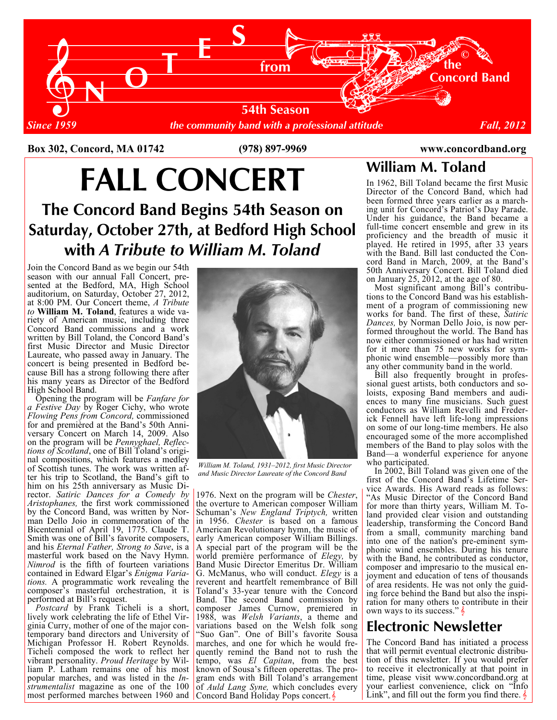

Box 302, Concord, MA 01742 (978) 897-9969 www.concordband.org

# FALL CONCERT

The Concord Band Begins 54th Season on Saturday, October 27th, at Bedford High School with A Tribute to William M. Toland

Join the Concord Band as we begin our 54th season with our annual Fall Concert, presented at the Bedford, MA, High School auditorium, on Saturday, October 27, 2012, at 8:00 PM. Our Concert theme, A Tribute to William M. Toland, features a wide variety of American music, including three Concord Band commissions and a work written by Bill Toland, the Concord Band's first Music Director and Music Director Laureate, who passed away in January. The concert is being presented in Bedford because Bill has a strong following there after his many years as Director of the Bedford High School Band.

man Dello Joio in commemoration of the  $\vert$  in 1956. Chester is based on a famous *Nimrod* is the fifth of fourteen variations **Band Music Director Emeritus Dr. William** composer's masterful orchestration, it is  $T$ oland's 33-year tenure with the Concord Opening the program will be Fanfare for a Festive Day by Roger Cichy, who wrote Flowing Pens from Concord, commissioned for and premièred at the Band's 50th Anniversary Concert on March 14, 2009. Also on the program will be Pennyghael, Reflections of Scotland, one of Bill Toland's original compositions, which features a medley of Scottish tunes. The work was written after his trip to Scotland, the Band's gift to him on his 25th anniversary as Music Director. Satiric Dances for a Comedy by Aristophanes, the first work commissioned by the Concord Band, was written by Nor-Bicentennial of April 19, 1775. Claude T. Smith was one of Bill's favorite composers, and his Eternal Father, Strong to Save, is a masterful work based on the Navy Hymn. contained in Edward Elgar's Enigma Variations. A programmatic work revealing the performed at Bill's request.

most performed marches between 1960 and Concord Band Holiday Pops concert. Postcard by Frank Ticheli is a short, lively work celebrating the life of Ethel Virginia Curry, mother of one of the major contemporary band directors and University of Michigan Professor H. Robert Reynolds. Ticheli composed the work to reflect her vibrant personality. Proud Heritage by William P. Latham remains one of his most popular marches, and was listed in the Instrumentalist magazine as one of the 100



William M. Toland, 1931–2012, first Music Director and Music Director Laureate of the Concord Band

1976. Next on the program will be Chester, the overture to American composer William Schuman's New England Triptych, written American Revolutionary hymn, the music of early American composer William Billings. A special part of the program will be the world première performance of *Elegy*, by G. McManus, who will conduct. Elegy is a reverent and heartfelt remembrance of Bill Band. The second Band commission by composer James Curnow, premiered in 1988, was Welsh Variants, a theme and variations based on the Welsh folk song 'Suo Gan". One of Bill's favorite Sousa marches, and one for which he would frequently remind the Band not to rush the tempo, was El Capitan, from the best known of Sousa's fifteen operettas. The program ends with Bill Toland's arrangement of Auld Lang Syne, which concludes every

William M. Toland

In 1962, Bill Toland became the first Music Director of the Concord Band, which had been formed three years earlier as a marching unit for Concord's Patriot's Day Parade. Under his guidance, the Band became a full-time concert ensemble and grew in its proficiency and the breadth of music it played. He retired in 1995, after 33 years with the Band. Bill last conducted the Concord Band in March, 2009, at the Band's 50th Anniversary Concert. Bill Toland died on January 25, 2012, at the age of 80.

 Most significant among Bill's contributions to the Concord Band was his establishment of a program of commissioning new works for band. The first of these, Satiric Dances, by Norman Dello Joio, is now performed throughout the world. The Band has now either commissioned or has had written for it more than 75 new works for symphonic wind ensemble—possibly more than any other community band in the world.

 Bill also frequently brought in professional guest artists, both conductors and soloists, exposing Band members and audiences to many fine musicians. Such guest conductors as William Revelli and Frederick Fennell have left life-long impressions on some of our long-time members. He also encouraged some of the more accomplished members of the Band to play solos with the Band—a wonderful experience for anyone who participated.

 In 2002, Bill Toland was given one of the first of the Concord Band's Lifetime Service Awards. His Award reads as follows: "As Music Director of the Concord Band for more than thirty years, William M. Toland provided clear vision and outstanding leadership, transforming the Concord Band from a small, community marching band into one of the nation's pre-eminent symphonic wind ensembles. During his tenure with the Band, he contributed as conductor, composer and impresario to the musical enjoyment and education of tens of thousands of area residents. He was not only the guiding force behind the Band but also the inspiration for many others to contribute in their own ways to its success." $\frac{1}{2}$ 

### Electronic Newsletter

The Concord Band has initiated a process that will permit eventual electronic distribution of this newsletter. If you would prefer to receive it electronically at that point in time, please visit www.concordband.org at your earliest convenience, click on "Info Link", and fill out the form you find there.